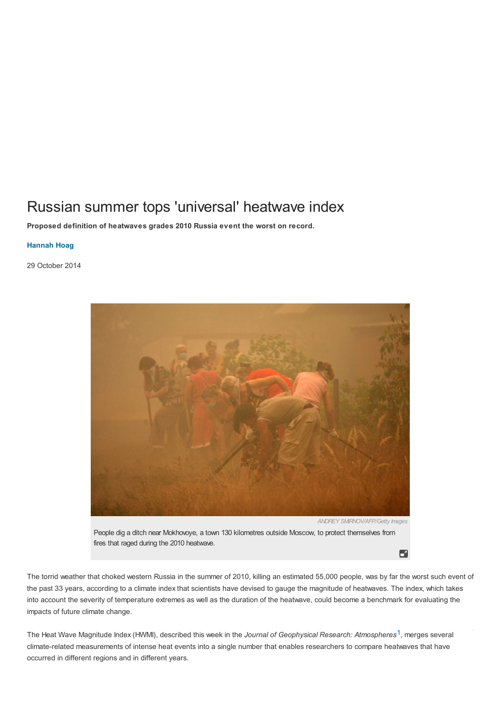# Russian summer tops 'universal' heatwave index

**Proposed definition of heatwaves grades 2010 Russia event the worst on record.**

## **Hannah Hoag**

29 October 2014



*ANDREY SMIRNOV/AFP/Getty Images*

People dig a ditch near Mokhovoye, a town 130 kilometres outside Moscow, to protect themselves from fires that raged during the 2010 heatwave.

6

The torrid weather that choked western Russia in the summer of 2010, killing an estimated 55,000 people, was by far the worst such event of the past 33 years, according to a climate index that scientists have devised to gauge the magnitude of heatwaves. The index, which takes into account the severity of temperature extremes as well as the duration of the heatwave, could become a benchmark for evaluating the impacts of future climate change.

The Heat Wave Magnitude Index (HWMI), described this week in the *Journal of Geophysical Research: Atmospheres*[1](#page-1-0), merges several climate-related measurements of intense heat events into a single number that enables researchers to compare heatwaves that have occurred in different regions and in different years.